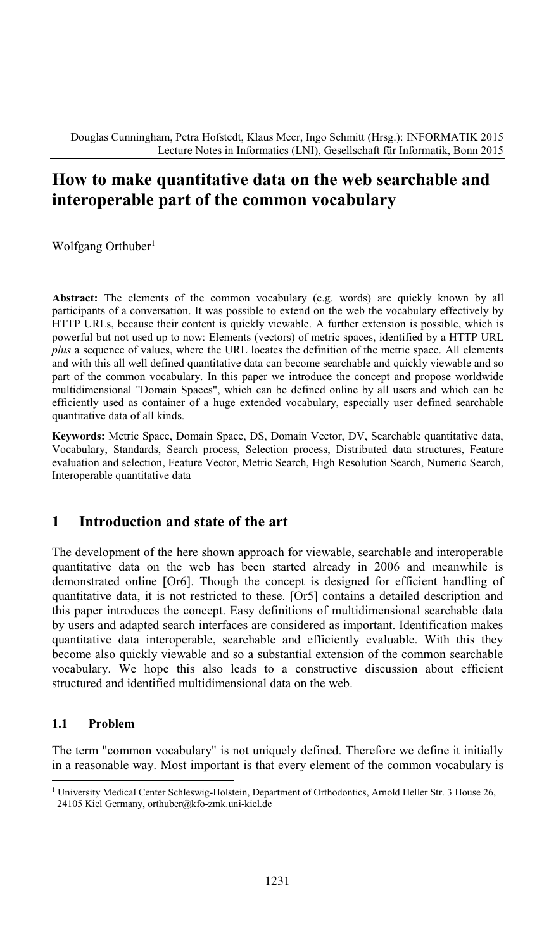# **How to make quantitative data on the web searchable and interoperable part of the common vocabulary**

Wolfgang Orthuber<sup>1</sup>

**Abstract:** The elements of the common vocabulary (e.g. words) are quickly known by all participants of a conversation. It was possible to extend on the web the vocabulary effectively by HTTP URLs, because their content is quickly viewable. A further extension is possible, which is powerful but not used up to now: Elements (vectors) of metric spaces, identified by a HTTP URL *plus* a sequence of values, where the URL locates the definition of the metric space. All elements and with this all well defined quantitative data can become searchable and quickly viewable and so part of the common vocabulary. In this paper we introduce the concept and propose worldwide multidimensional "Domain Spaces", which can be defined online by all users and which can be efficiently used as container of a huge extended vocabulary, especially user defined searchable quantitative data of all kinds.

**Keywords:** Metric Space, Domain Space, DS, Domain Vector, DV, Searchable quantitative data, Vocabulary, Standards, Search process, Selection process, Distributed data structures, Feature evaluation and selection, Feature Vector, Metric Search, High Resolution Search, Numeric Search, Interoperable quantitative data

## **1 Introduction and state of the art**

The development of the here shown approach for viewable, searchable and interoperable quantitative data on the web has been started already in 2006 and meanwhile is demonstrated online [Or6]. Though the concept is designed for efficient handling of quantitative data, it is not restricted to these. [Or5] contains a detailed description and this paper introduces the concept. Easy definitions of multidimensional searchable data by users and adapted search interfaces are considered as important. Identification makes quantitative data interoperable, searchable and efficiently evaluable. With this they become also quickly viewable and so a substantial extension of the common searchable vocabulary. We hope this also leads to a constructive discussion about efficient structured and identified multidimensional data on the web.

### **1.1 Problem**

The term "common vocabulary" is not uniquely defined. Therefore we define it initially in a reasonable way. Most important is that every element of the common vocabulary is

<sup>&</sup>lt;sup>1</sup> University Medical Center Schleswig-Holstein, Department of Orthodontics, Arnold Heller Str. 3 House 26, 24105 Kiel Germany, orthuber@kfo-zmk.uni-kiel.de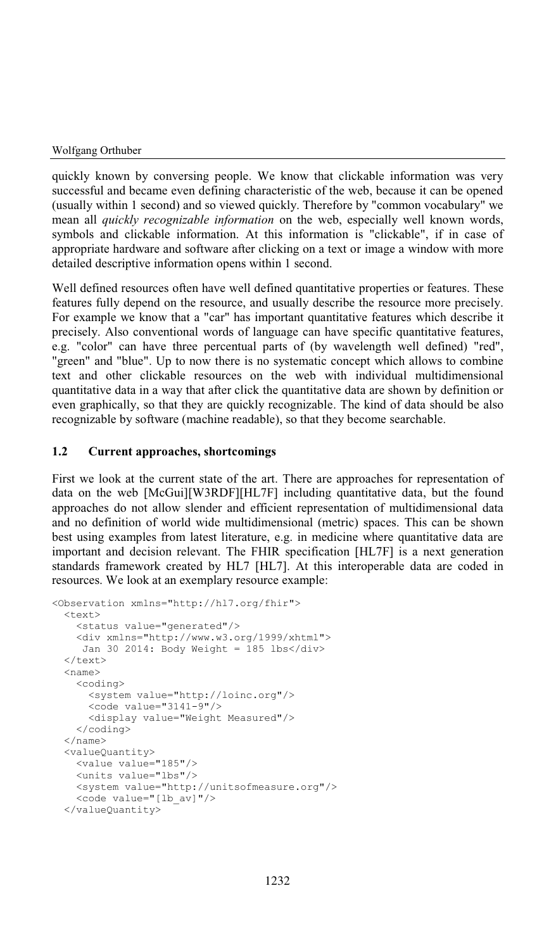#### Wolfgang Orthuber

quickly known by conversing people. We know that clickable information was very successful and became even defining characteristic of the web, because it can be opened (usually within 1 second) and so viewed quickly. Therefore by "common vocabulary" we mean all *quickly recognizable information* on the web, especially well known words, symbols and clickable information. At this information is "clickable", if in case of appropriate hardware and software after clicking on a text or image a window with more detailed descriptive information opens within 1 second.

Well defined resources often have well defined quantitative properties or features. These features fully depend on the resource, and usually describe the resource more precisely. For example we know that a "car" has important quantitative features which describe it precisely. Also conventional words of language can have specific quantitative features, e.g. "color" can have three percentual parts of (by wavelength well defined) "red", "green" and "blue". Up to now there is no systematic concept which allows to combine text and other clickable resources on the web with individual multidimensional quantitative data in a way that after click the quantitative data are shown by definition or even graphically, so that they are quickly recognizable. The kind of data should be also recognizable by software (machine readable), so that they become searchable.

### **1.2 Current approaches, shortcomings**

First we look at the current state of the art. There are approaches for representation of data on the web [McGui][W3RDF][HL7F] including quantitative data, but the found approaches do not allow slender and efficient representation of multidimensional data and no definition of world wide multidimensional (metric) spaces. This can be shown best using examples from latest literature, e.g. in medicine where quantitative data are important and decision relevant. The FHIR specification [HL7F] is a next generation standards framework created by HL7 [HL7]. At this interoperable data are coded in resources. We look at an exemplary resource example:

```
<Observation xmlns="http://hl7.org/fhir">
 <text>
    <status value="generated"/>
    <div xmlns="http://www.w3.org/1999/xhtml">
    Jan 30 2014: Body Weight = 185 lbs</div>
 \langle /text{text}\rangle<name><coding>
      <system value="http://loinc.org"/>
      <code value="3141-9"/>
     <display value="Weight Measured"/>
    </coding>
 </name>
 <valueQuantity>
   <value value="185"/>
   <units value="lbs"/>
   <system value="http://unitsofmeasure.org"/>
   <code value="[lb_av]"/>
 </valueQuantity>
```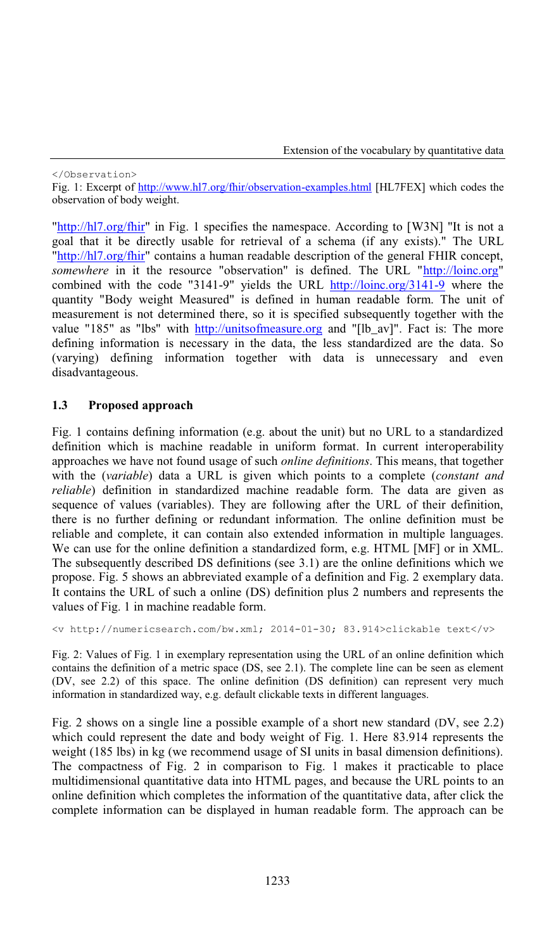#### </Observation>

Fig. 1: Excerpt of http://www.hl7.org/fhir/observation-examples.html [HL7FEX] which codes the observation of body weight.

"http://hl7.org/fhir" in Fig. 1 specifies the namespace. According to [W3N] "It is not a goal that it be directly usable for retrieval of a schema (if any exists)." The URL "http://hl7.org/fhir" contains a human readable description of the general FHIR concept, *somewhere* in it the resource "observation" is defined. The URL "http://loinc.org" combined with the code "3141-9" yields the URL http://loinc.org/3141-9 where the quantity "Body weight Measured" is defined in human readable form. The unit of measurement is not determined there, so it is specified subsequently together with the value "185" as "lbs" with http://unitsofmeasure.org and "[lb\_av]". Fact is: The more defining information is necessary in the data, the less standardized are the data. So (varying) defining information together with data is unnecessary and even disadvantageous.

### **1.3 Proposed approach**

Fig. 1 contains defining information (e.g. about the unit) but no URL to a standardized definition which is machine readable in uniform format. In current interoperability approaches we have not found usage of such *online definitions*. This means, that together with the (*variable*) data a URL is given which points to a complete (*constant and reliable*) definition in standardized machine readable form. The data are given as sequence of values (variables). They are following after the URL of their definition, there is no further defining or redundant information. The online definition must be reliable and complete, it can contain also extended information in multiple languages. We can use for the online definition a standardized form, e.g. HTML [MF] or in XML. The subsequently described DS definitions (see 3.1) are the online definitions which we propose. Fig. 5 shows an abbreviated example of a definition and Fig. 2 exemplary data. It contains the URL of such a online (DS) definition plus 2 numbers and represents the values of Fig. 1 in machine readable form.

```
<v http://numericsearch.com/bw.xml; 2014-01-30; 83.914>clickable text</v>
```
Fig. 2: Values of Fig. 1 in exemplary representation using the URL of an online definition which contains the definition of a metric space (DS, see 2.1). The complete line can be seen as element (DV, see 2.2) of this space. The online definition (DS definition) can represent very much information in standardized way, e.g. default clickable texts in different languages.

Fig. 2 shows on a single line a possible example of a short new standard (DV, see 2.2) which could represent the date and body weight of Fig. 1. Here 83.914 represents the weight (185 lbs) in kg (we recommend usage of SI units in basal dimension definitions). The compactness of Fig. 2 in comparison to Fig. 1 makes it practicable to place multidimensional quantitative data into HTML pages, and because the URL points to an online definition which completes the information of the quantitative data, after click the complete information can be displayed in human readable form. The approach can be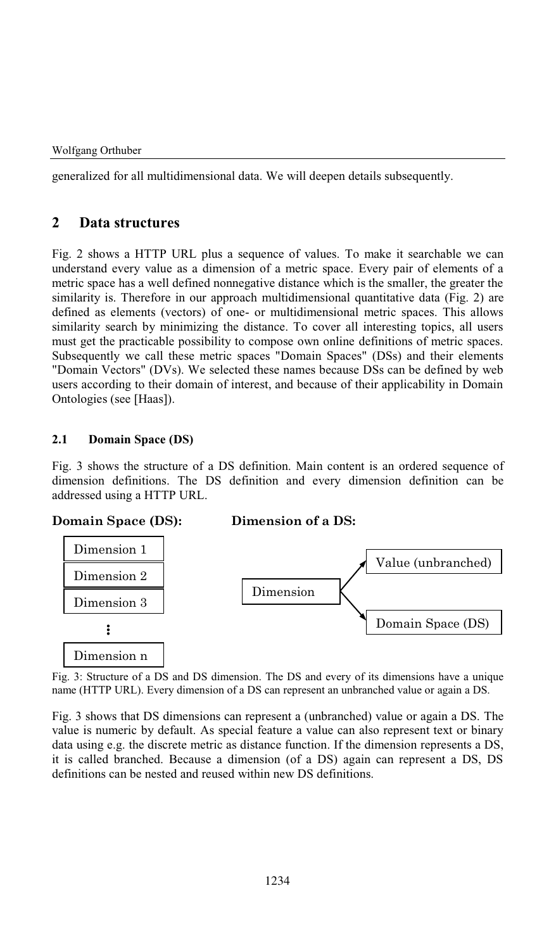generalized for all multidimensional data. We will deepen details subsequently.

## **2 Data structures**

Fig. 2 shows a HTTP URL plus a sequence of values. To make it searchable we can understand every value as a dimension of a metric space. Every pair of elements of a metric space has a well defined nonnegative distance which is the smaller, the greater the similarity is. Therefore in our approach multidimensional quantitative data (Fig. 2) are defined as elements (vectors) of one- or multidimensional metric spaces. This allows similarity search by minimizing the distance. To cover all interesting topics, all users must get the practicable possibility to compose own online definitions of metric spaces. Subsequently we call these metric spaces "Domain Spaces" (DSs) and their elements "Domain Vectors" (DVs). We selected these names because DSs can be defined by web users according to their domain of interest, and because of their applicability in Domain Ontologies (see [Haas]).

### **2.1 Domain Space (DS)**

Fig. 3 shows the structure of a DS definition. Main content is an ordered sequence of dimension definitions. The DS definition and every dimension definition can be addressed using a HTTP URL.

**Domain Space (DS): Dimension of a DS:**



Fig. 3: Structure of a DS and DS dimension. The DS and every of its dimensions have a unique name (HTTP URL). Every dimension of a DS can represent an unbranched value or again a DS.

Fig. 3 shows that DS dimensions can represent a (unbranched) value or again a DS. The value is numeric by default. As special feature a value can also represent text or binary data using e.g. the discrete metric as distance function. If the dimension represents a DS, it is called branched. Because a dimension (of a DS) again can represent a DS, DS definitions can be nested and reused within new DS definitions.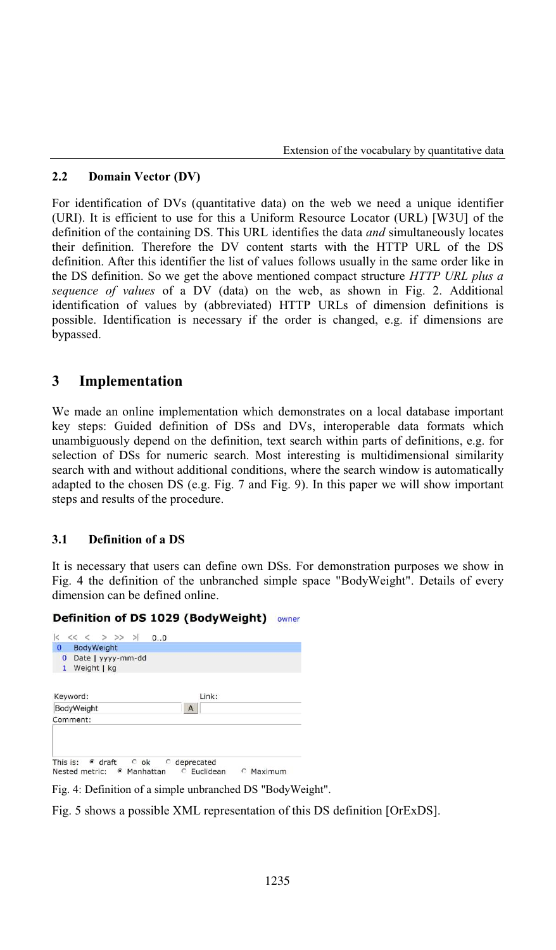### **2.2 Domain Vector (DV)**

For identification of DVs (quantitative data) on the web we need a unique identifier (URI). It is efficient to use for this a Uniform Resource Locator (URL) [W3U] of the definition of the containing DS. This URL identifies the data *and* simultaneously locates their definition. Therefore the DV content starts with the HTTP URL of the DS definition. After this identifier the list of values follows usually in the same order like in the DS definition. So we get the above mentioned compact structure *HTTP URL plus a sequence of values* of a DV (data) on the web, as shown in Fig. 2. Additional identification of values by (abbreviated) HTTP URLs of dimension definitions is possible. Identification is necessary if the order is changed, e.g. if dimensions are bypassed.

## **3 Implementation**

We made an online implementation which demonstrates on a local database important key steps: Guided definition of DSs and DVs, interoperable data formats which unambiguously depend on the definition, text search within parts of definitions, e.g. for selection of DSs for numeric search. Most interesting is multidimensional similarity search with and without additional conditions, where the search window is automatically adapted to the chosen DS (e.g. Fig. 7 and Fig. 9). In this paper we will show important steps and results of the procedure.

### **3.1 Definition of a DS**

It is necessary that users can define own DSs. For demonstration purposes we show in Fig. 4 the definition of the unbranched simple space "BodyWeight". Details of every dimension can be defined online.

#### Definition of DS 1029 (BodyWeight) owner

| $<<$ < > >> ><br>$\lt$<br>0.0                                                      |                                             |
|------------------------------------------------------------------------------------|---------------------------------------------|
| $\Omega$<br>BodyWeight                                                             |                                             |
| Date   yyyy-mm-dd<br>$\mathbf{0}$<br>Weight   kg<br>$\mathbf{1}$                   |                                             |
| Keyword:                                                                           | Link:                                       |
| BodyWeight                                                                         | A                                           |
| Comment:                                                                           |                                             |
| This is:<br>$\epsilon$ draft<br>$C$ ok<br>Nested metric:<br>Manhattan<br>$\bullet$ | c deprecated<br>C Euclidean<br>Maximum<br>O |

Fig. 4: Definition of a simple unbranched DS "BodyWeight".

Fig. 5 shows a possible XML representation of this DS definition [OrExDS].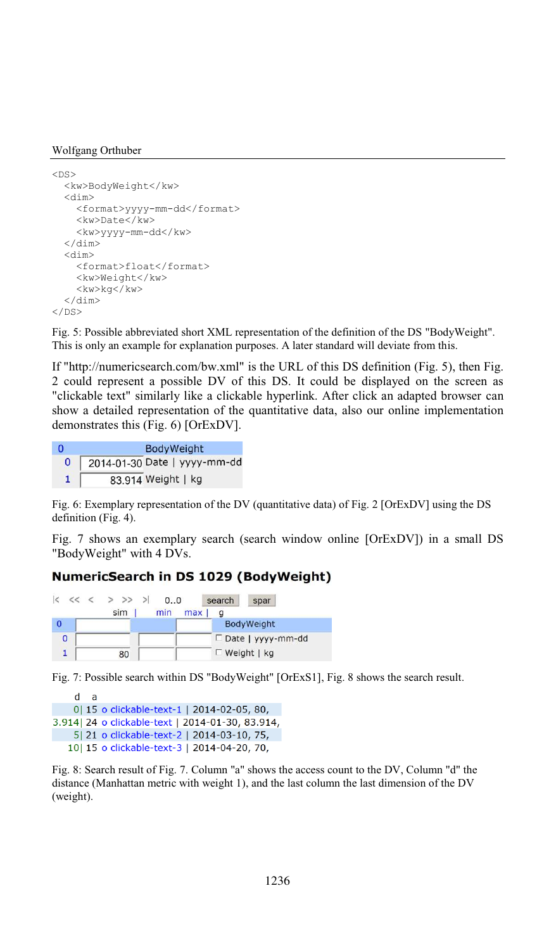#### Wolfgang Orthuber

```
<DS><kw>BodyWeight</kw>
 <dim>
    <format>yyyy-mm-dd</format>
    <kw>Date</kw>
    <kw>yyyy-mm-dd</kw>
  </dim>
  <dim>
    <format>float</format>
    <kw>Weight</kw>
    <kw>kg</kw>
  </dim>
\langle/DS\rangle
```
Fig. 5: Possible abbreviated short XML representation of the definition of the DS "BodyWeight". This is only an example for explanation purposes. A later standard will deviate from this.

If "http://numericsearch.com/bw.xml" is the URL of this DS definition (Fig. 5), then Fig. 2 could represent a possible DV of this DS. It could be displayed on the screen as "clickable text" similarly like a clickable hyperlink. After click an adapted browser can show a detailed representation of the quantitative data, also our online implementation demonstrates this (Fig. 6) [OrExDV].

| n            | <b>BodyWeight</b>            |  |  |
|--------------|------------------------------|--|--|
| $\mathbf{0}$ | 2014-01-30 Date   yyyy-mm-dd |  |  |
|              | 83.914 Weight   kg           |  |  |

Fig. 6: Exemplary representation of the DV (quantitative data) of Fig. 2 [OrExDV] using the DS definition (Fig. 4).

Fig. 7 shows an exemplary search (search window online [OrExDV]) in a small DS "BodyWeight" with 4 DVs.

### NumericSearch in DS 1029 (BodyWeight)

|   | $ <\langle<\rangle$ > >> > |     |     | 0.0 | search | spar                 |
|---|----------------------------|-----|-----|-----|--------|----------------------|
|   |                            | sim | min | max |        |                      |
|   |                            |     |     |     |        | BodyWeight           |
| 0 |                            |     |     |     |        | □ Date   yyyy-mm-dd  |
|   |                            | 80  |     |     |        | $\Gamma$ Weight   kg |

Fig. 7: Possible search within DS "BodyWeight" [OrExS1], Fig. 8 shows the search result.

```
d a
    0| 15 o clickable-text-1 | 2014-02-05, 80,
3.914| 24 o clickable-text | 2014-01-30, 83.914,
    5| 21 o clickable-text-2 | 2014-03-10, 75,
   10| 15 o clickable-text-3 | 2014-04-20, 70,
```
Fig. 8: Search result of Fig. 7. Column "a" shows the access count to the DV, Column "d" the distance (Manhattan metric with weight 1), and the last column the last dimension of the DV (weight).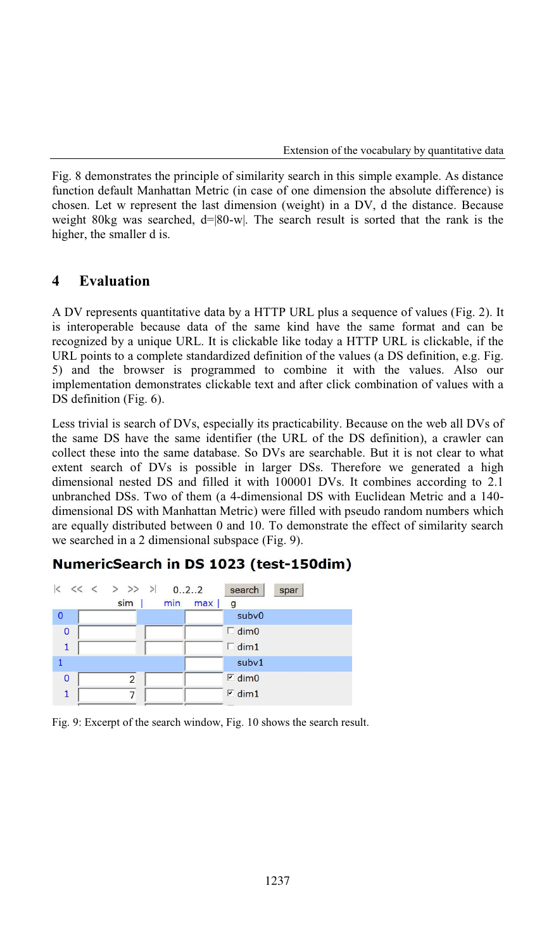Fig. 8 demonstrates the principle of similarity search in this simple example. As distance function default Manhattan Metric (in case of one dimension the absolute difference) is chosen. Let w represent the last dimension (weight) in a DV, d the distance. Because weight 80kg was searched,  $d=|80-w|$ . The search result is sorted that the rank is the higher, the smaller d is.

### **4 Evaluation**

A DV represents quantitative data by a HTTP URL plus a sequence of values (Fig. 2). It is interoperable because data of the same kind have the same format and can be recognized by a unique URL. It is clickable like today a HTTP URL is clickable, if the URL points to a complete standardized definition of the values (a DS definition, e.g. Fig. 5) and the browser is programmed to combine it with the values. Also our implementation demonstrates clickable text and after click combination of values with a DS definition (Fig. 6).

Less trivial is search of DVs, especially its practicability. Because on the web all DVs of the same DS have the same identifier (the URL of the DS definition), a crawler can collect these into the same database. So DVs are searchable. But it is not clear to what extent search of DVs is possible in larger DSs. Therefore we generated a high dimensional nested DS and filled it with 100001 DVs. It combines according to 2.1 unbranched DSs. Two of them (a 4-dimensional DS with Euclidean Metric and a 140 dimensional DS with Manhattan Metric) were filled with pseudo random numbers which are equally distributed between 0 and 10. To demonstrate the effect of similarity search we searched in a 2 dimensional subspace (Fig. 9).

## NumericSearch in DS 1023 (test-150dim)



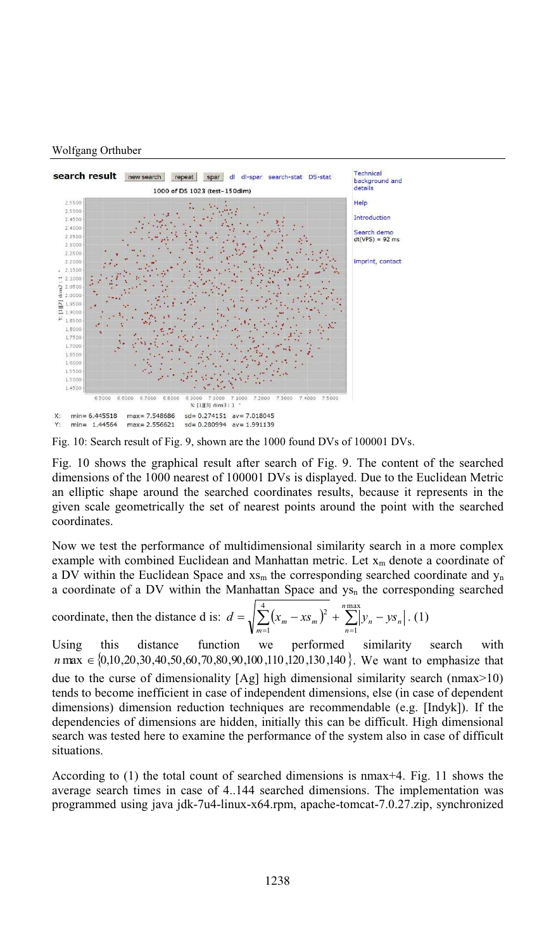#### Wolfgang Orthuber



Fig. 10: Search result of Fig. 9, shown are the 1000 found DVs of 100001 DVs.

Fig. 10 shows the graphical result after search of Fig. 9. The content of the searched dimensions of the 1000 nearest of 100001 DVs is displayed. Due to the Euclidean Metric an elliptic shape around the searched coordinates results, because it represents in the given scale geometrically the set of nearest points around the point with the searched coordinates.

Now we test the performance of multidimensional similarity search in a more complex example with combined Euclidean and Manhattan metric. Let  $x_m$  denote a coordinate of a DV within the Euclidean Space and  $x_{\rm sm}$  the corresponding searched coordinate and  $y_{\rm n}$ a coordinate of a DV within the Manhattan Space and  $ys_n$  the corresponding searched

coordinate, then the distance d is: 
$$
d = \sqrt{\sum_{m=1}^{4} (x_m - xs_m)^2 + \sum_{n=1}^{n \max} |y_n - ys_n|}
$$
. (1)

Using this distance function we performed similarity search with *n* max  $\in \{0.10, 20, 30, 40, 50, 60, 70, 80, 90, 100, 110, 120, 130, 140\}$ . We want to emphasize that due to the curse of dimensionality  $[Ag]$  high dimensional similarity search (nmax $>10$ ) tends to become inefficient in case of independent dimensions, else (in case of dependent dimensions) dimension reduction techniques are recommendable (e.g. [Indyk]). If the dependencies of dimensions are hidden, initially this can be difficult. High dimensional search was tested here to examine the performance of the system also in case of difficult situations.

According to (1) the total count of searched dimensions is nmax+4. Fig. 11 shows the average search times in case of 4..144 searched dimensions. The implementation was programmed using java jdk-7u4-linux-x64.rpm, apache-tomcat-7.0.27.zip, synchronized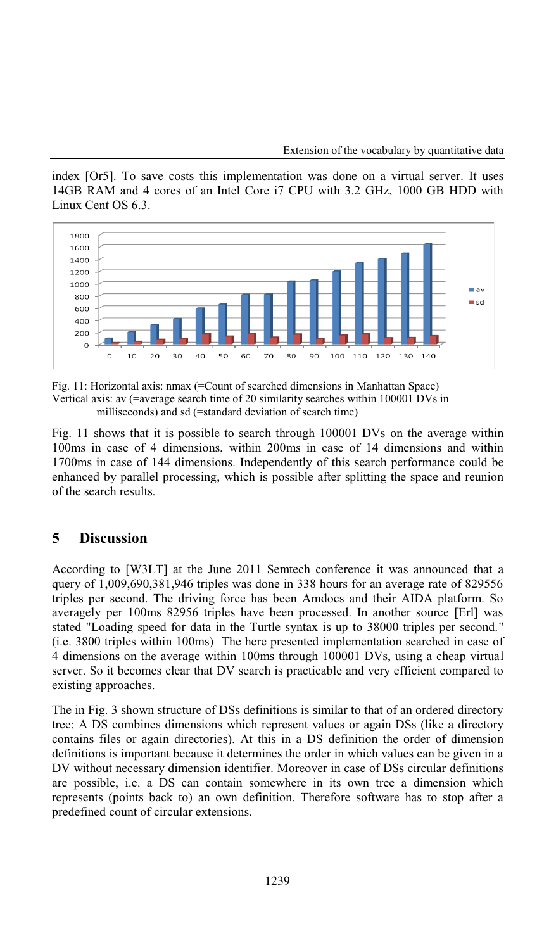index [Or5]. To save costs this implementation was done on a virtual server. It uses 14GB RAM and 4 cores of an Intel Core i7 CPU with 3.2 GHz, 1000 GB HDD with Linux Cent OS 6.3.



Fig. 11: Horizontal axis: nmax (=Count of searched dimensions in Manhattan Space) Vertical axis: av  $(=\alpha)$  = average search time of 20 similarity searches within 100001 DVs in milliseconds) and sd (=standard deviation of search time)

Fig. 11 shows that it is possible to search through 100001 DVs on the average within 100ms in case of 4 dimensions, within 200ms in case of 14 dimensions and within 1700ms in case of 144 dimensions. Independently of this search performance could be enhanced by parallel processing, which is possible after splitting the space and reunion of the search results.

## **5 Discussion**

According to [W3LT] at the June 2011 Semtech conference it was announced that a query of  $1,009,690,381,946$  triples was done in 338 hours for an average rate of 829556 triples per second. The driving force has been Amdocs and their AIDA platform. So averagely per 100ms 82956 triples have been processed. In another source [Erl] was stated "Loading speed for data in the Turtle syntax is up to 38000 triples per second."  $(i.e. 3800$  triples within 100ms) The here presented implementation searched in case of 4 dimensions on the average within 100ms through 100001 DVs, using a cheap virtual server. So it becomes clear that DV search is practicable and very efficient compared to existing approaches.

The in Fig. 3 shown structure of DSs definitions is similar to that of an ordered directory tree: ADS combines dimensions which represent values or again DSs(like a directory contains files or again directories). At this in a DS definition the order of dimension definitions is important because it determines the order in which values can be given in a DV without necessary dimension identifier. Moreover in case of DSs circular definitions are possible, i.e. a DS can contain somewhere in its own tree a dimension which represents (points back to) an own definition. Therefore software has to stop after a predefined count of circular extensions.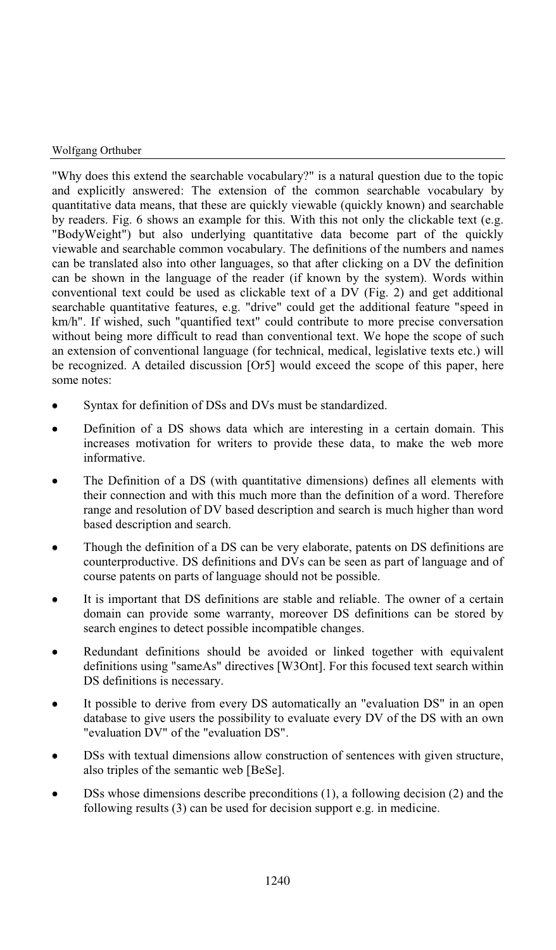"Why does this extend the searchable vocabulary?" is a natural question due to the topic and explicitly answered: The extension of the common searchable vocabulary by quantitative data means, that these are quickly viewable (quickly known) and searchable by readers. Fig. 6 shows an example for this. With this not only the clickable text (e.g. "BodyWeight") but also underlying quantitative data become part of the quickly viewable and searchable common vocabulary. The definitions of the numbers and names can be translated also into other languages, so that after clicking on a DV the definition can be shown in the language of the reader (if known by the system). Words within conventional text could be used as clickable text of a DV (Fig. 2) and get additional searchable quantitative features, e.g. "drive" could get the additional feature "speed in km/h". If wished, such "quantified text" could contribute to more precise conversation without being more difficult to read than conventional text. We hope the scope of such an extension of conventional language (for technical, medical, legislative texts etc.) will be recognized. A detailed discussion [Or5] would exceed the scope of this paper, here some notes:

- Syntax for definition of DSs and DVs must be standardized.
- Definition of a DS shows data which are interesting in a certain domain. This increases motivation for writers to provide these data, to make the web more informative.
- The Definition of a DS (with quantitative dimensions) defines all elements with their connection and with this much more than the definition of a word. Therefore range and resolution of DV based description and search is much higher than word based description and search.
- Though the definition of a DS can be very elaborate, patents on DS definitions are counterproductive. DS definitions and DVs can be seen as part of language and of course patents on parts of language should not be possible.
- It is important that DS definitions are stable and reliable. The owner of a certain domain can provide some warranty, moreover DS definitions can be stored by search engines to detect possible incompatible changes.
- Redundant definitions should be avoided or linked together with equivalent definitions using "sameAs" directives [W3Ont]. For this focused text search within DS definitions is necessary.
- It possible to derive from every DS automatically an "evaluation DS" in an open database to give users the possibility to evaluate every DV of the DS with an own "evaluation DV" of the "evaluation DS".
- DSs with textual dimensions allow construction of sentences with given structure, also triples of the semantic web [BeSe].
- DSs whose dimensions describe preconditions (1), a following decision (2) and the following results (3) can be used for decision support e.g. in medicine.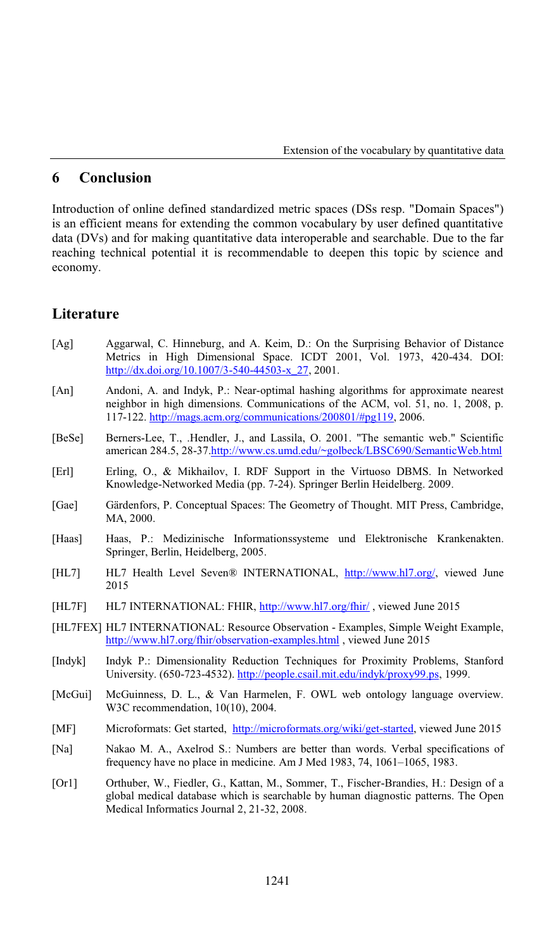### **6 Conclusion**

Introduction of online defined standardized metric spaces (DSs resp. "Domain Spaces") is an efficient means for extending the common vocabulary by user defined quantitative data (DVs) and for making quantitative data interoperable and searchable. Due to the far reaching technical potential it is recommendable to deepen this topic by science and economy.

## **Literature**

- [Ag] Aggarwal, C. Hinneburg, and A. Keim, D.: On the Surprising Behavior of Distance Metrics in High Dimensional Space. ICDT 2001, Vol. 1973, 420-434. DOI: http://dx.doi.org/10.1007/3-540-44503-x\_27, 2001.
- [An] Andoni, A. and Indyk, P.: Near-optimal hashing algorithms for approximate nearest neighbor in high dimensions. Communications of the ACM, vol. 51, no. 1, 2008, p. 117-122. http://mags.acm.org/communications/200801/#pg119, 2006.
- [BeSe] Berners-Lee, T., .Hendler, J., and Lassila, O. 2001. "The semantic web." Scientific american 284.5, 28-37.http://www.cs.umd.edu/~golbeck/LBSC690/SemanticWeb.html
- [Erl] Erling, O., & Mikhailov, I. RDF Support in the Virtuoso DBMS. In Networked Knowledge-Networked Media (pp. 7-24). Springer Berlin Heidelberg. 2009.
- [Gae] Gärdenfors, P. Conceptual Spaces: The Geometry of Thought. MIT Press, Cambridge, MA, 2000.
- [Haas] Haas, P.: Medizinische Informationssysteme und Elektronische Krankenakten. Springer, Berlin, Heidelberg, 2005.
- [HL7] HL7 Health Level Seven® INTERNATIONAL, http://www.hl7.org/, viewed June 2015
- [HL7F] HL7 INTERNATIONAL: FHIR, http://www.hl7.org/fhir/ , viewed June 2015
- [HL7FEX] HL7 INTERNATIONAL: Resource Observation Examples, Simple Weight Example, http://www.hl7.org/fhir/observation-examples.html , viewed June 2015
- [Indyk] Indyk P.: Dimensionality Reduction Techniques for Proximity Problems, Stanford University. (650-723-4532). http://people.csail.mit.edu/indyk/proxy99.ps, 1999.
- [McGui] McGuinness, D. L., & Van Harmelen, F. OWL web ontology language overview. W3C recommendation, 10(10), 2004.
- [MF] Microformats: Get started, http://microformats.org/wiki/get-started, viewed June 2015
- [Na] Nakao M. A., Axelrod S.: Numbers are better than words. Verbal specifications of frequency have no place in medicine. Am J Med 1983, 74, 1061–1065, 1983.
- [Or1] Orthuber, W., Fiedler, G., Kattan, M., Sommer, T., Fischer-Brandies, H.: Design of a global medical database which is searchable by human diagnostic patterns. The Open Medical Informatics Journal 2, 21-32, 2008.